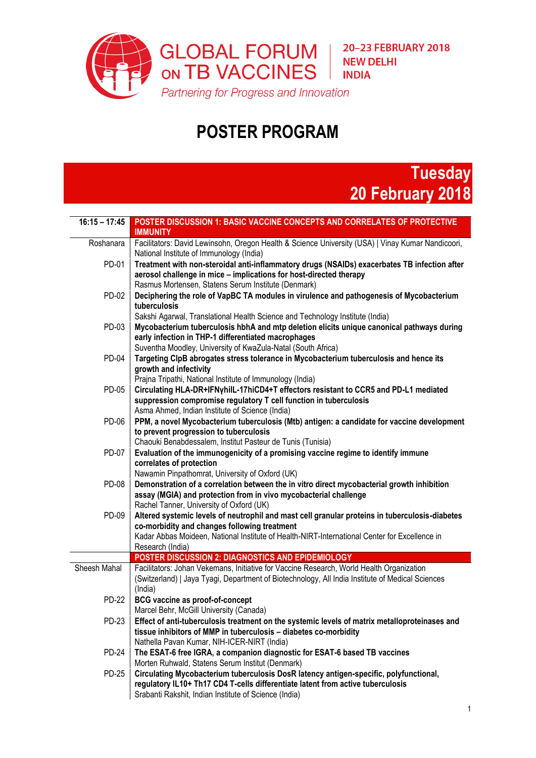

## **POSTER PROGRAM**



| $16:15 - 17:45$ | POSTER DISCUSSION 1: BASIC VACCINE CONCEPTS AND CORRELATES OF PROTECTIVE<br><b>IMMUNITY</b>                     |
|-----------------|-----------------------------------------------------------------------------------------------------------------|
| Roshanara       | Facilitators: David Lewinsohn, Oregon Health & Science University (USA)   Vinay Kumar Nandicoori,               |
|                 | National Institute of Immunology (India)                                                                        |
| PD-01           | Treatment with non-steroidal anti-inflammatory drugs (NSAIDs) exacerbates TB infection after                    |
|                 | aerosol challenge in mice - implications for host-directed therapy                                              |
|                 | Rasmus Mortensen, Statens Serum Institute (Denmark)                                                             |
| PD-02           | Deciphering the role of VapBC TA modules in virulence and pathogenesis of Mycobacterium<br>tuberculosis         |
|                 | Sakshi Agarwal, Translational Health Science and Technology Institute (India)                                   |
| PD-03           | Mycobacterium tuberculosis hbhA and mtp deletion elicits unique canonical pathways during                       |
|                 | early infection in THP-1 differentiated macrophages                                                             |
|                 | Suventha Moodley, University of KwaZula-Natal (South Africa)                                                    |
| <b>PD-04</b>    | Targeting ClpB abrogates stress tolerance in Mycobacterium tuberculosis and hence its                           |
|                 | growth and infectivity                                                                                          |
|                 | Prajna Tripathi, National Institute of Immunology (India)                                                       |
| PD-05           | Circulating HLA-DR+IFNyhilL-17hiCD4+T effectors resistant to CCR5 and PD-L1 mediated                            |
|                 | suppression compromise regulatory T cell function in tuberculosis                                               |
|                 | Asma Ahmed, Indian Institute of Science (India)                                                                 |
| PD-06           | PPM, a novel Mycobacterium tuberculosis (Mtb) antigen: a candidate for vaccine development                      |
|                 | to prevent progression to tuberculosis                                                                          |
|                 | Chaouki Benabdessalem, Institut Pasteur de Tunis (Tunisia)                                                      |
| PD-07           | Evaluation of the immunogenicity of a promising vaccine regime to identify immune                               |
|                 | correlates of protection<br>Nawamin Pinpathomrat, University of Oxford (UK)                                     |
| PD-08           | Demonstration of a correlation between the in vitro direct mycobacterial growth inhibition                      |
|                 | assay (MGIA) and protection from in vivo mycobacterial challenge                                                |
|                 | Rachel Tanner, University of Oxford (UK)                                                                        |
| PD-09           | Altered systemic levels of neutrophil and mast cell granular proteins in tuberculosis-diabetes                  |
|                 | co-morbidity and changes following treatment                                                                    |
|                 | Kadar Abbas Moideen, National Institute of Health-NIRT-International Center for Excellence in                   |
|                 | Research (India)                                                                                                |
|                 | POSTER DISCUSSION 2: DIAGNOSTICS AND EPIDEMIOLOGY                                                               |
| Sheesh Mahal    | Facilitators: Johan Vekemans, Initiative for Vaccine Research, World Health Organization                        |
|                 | (Switzerland)   Jaya Tyagi, Department of Biotechnology, All India Institute of Medical Sciences                |
|                 | (India)                                                                                                         |
| <b>PD-22</b>    | <b>BCG vaccine as proof-of-concept</b>                                                                          |
|                 | Marcel Behr, McGill University (Canada)                                                                         |
| PD-23           | Effect of anti-tuberculosis treatment on the systemic levels of matrix metalloproteinases and                   |
|                 | tissue inhibitors of MMP in tuberculosis - diabetes co-morbidity<br>Nathella Pavan Kumar, NIH-ICER-NIRT (India) |
| <b>PD-24</b>    | The ESAT-6 free IGRA, a companion diagnostic for ESAT-6 based TB vaccines                                       |
|                 | Morten Ruhwald, Statens Serum Institut (Denmark)                                                                |
| <b>PD-25</b>    | Circulating Mycobacterium tuberculosis DosR latency antigen-specific, polyfunctional,                           |
|                 | regulatory IL10+ Th17 CD4 T-cells differentiate latent from active tuberculosis                                 |
|                 | Srabanti Rakshit, Indian Institute of Science (India)                                                           |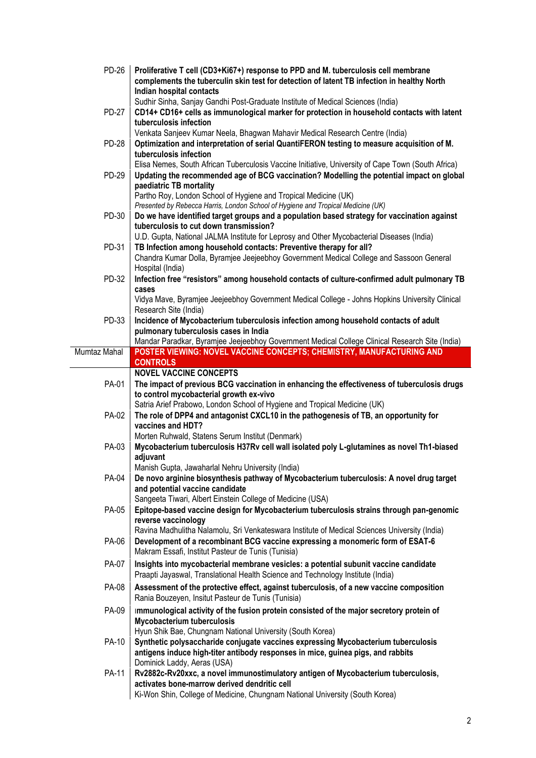| PD-26        | Proliferative T cell (CD3+Ki67+) response to PPD and M. tuberculosis cell membrane<br>complements the tuberculin skin test for detection of latent TB infection in healthy North<br>Indian hospital contacts               |
|--------------|----------------------------------------------------------------------------------------------------------------------------------------------------------------------------------------------------------------------------|
| <b>PD-27</b> | Sudhir Sinha, Sanjay Gandhi Post-Graduate Institute of Medical Sciences (India)<br>CD14+ CD16+ cells as immunological marker for protection in household contacts with latent<br>tuberculosis infection                    |
|              | Venkata Sanjeev Kumar Neela, Bhagwan Mahavir Medical Research Centre (India)                                                                                                                                               |
| <b>PD-28</b> | Optimization and interpretation of serial QuantiFERON testing to measure acquisition of M.                                                                                                                                 |
|              | tuberculosis infection                                                                                                                                                                                                     |
| PD-29        | Elisa Nemes, South African Tuberculosis Vaccine Initiative, University of Cape Town (South Africa)<br>Updating the recommended age of BCG vaccination? Modelling the potential impact on global<br>paediatric TB mortality |
|              | Partho Roy, London School of Hygiene and Tropical Medicine (UK)                                                                                                                                                            |
| PD-30        | Presented by Rebecca Harris, London School of Hygiene and Tropical Medicine (UK)<br>Do we have identified target groups and a population based strategy for vaccination against                                            |
|              | tuberculosis to cut down transmission?                                                                                                                                                                                     |
|              | U.D. Gupta, National JALMA Institute for Leprosy and Other Mycobacterial Diseases (India)                                                                                                                                  |
| PD-31        | TB Infection among household contacts: Preventive therapy for all?                                                                                                                                                         |
|              | Chandra Kumar Dolla, Byramjee Jeejeebhoy Government Medical College and Sassoon General                                                                                                                                    |
|              | Hospital (India)                                                                                                                                                                                                           |
| PD-32        | Infection free "resistors" among household contacts of culture-confirmed adult pulmonary TB<br>cases                                                                                                                       |
|              | Vidya Mave, Byramjee Jeejeebhoy Government Medical College - Johns Hopkins University Clinical<br>Research Site (India)                                                                                                    |
| PD-33        | Incidence of Mycobacterium tuberculosis infection among household contacts of adult                                                                                                                                        |
|              | pulmonary tuberculosis cases in India                                                                                                                                                                                      |
|              | Mandar Paradkar, Byramjee Jeejeebhoy Government Medical College Clinical Research Site (India)                                                                                                                             |
| Mumtaz Mahal | POSTER VIEWING: NOVEL VACCINE CONCEPTS; CHEMISTRY, MANUFACTURING AND                                                                                                                                                       |
|              | <b>CONTROLS</b>                                                                                                                                                                                                            |
|              | <b>NOVEL VACCINE CONCEPTS</b>                                                                                                                                                                                              |
| PA-01        | The impact of previous BCG vaccination in enhancing the effectiveness of tuberculosis drugs                                                                                                                                |
|              | to control mycobacterial growth ex-vivo<br>Satria Arief Prabowo, London School of Hygiene and Tropical Medicine (UK)                                                                                                       |
| PA-02        | The role of DPP4 and antagonist CXCL10 in the pathogenesis of TB, an opportunity for                                                                                                                                       |
|              | vaccines and HDT?                                                                                                                                                                                                          |
|              | Morten Ruhwald, Statens Serum Institut (Denmark)                                                                                                                                                                           |
| PA-03        | Mycobacterium tuberculosis H37Rv cell wall isolated poly L-glutamines as novel Th1-biased                                                                                                                                  |
|              | adjuvant                                                                                                                                                                                                                   |
|              | Manish Gupta, Jawaharlal Nehru University (India)                                                                                                                                                                          |
| PA-04        | De novo arginine biosynthesis pathway of Mycobacterium tuberculosis: A novel drug target                                                                                                                                   |
|              | and potential vaccine candidate                                                                                                                                                                                            |
|              | Sangeeta Tiwari, Albert Einstein College of Medicine (USA)                                                                                                                                                                 |
| PA-05        | Epitope-based vaccine design for Mycobacterium tuberculosis strains through pan-genomic                                                                                                                                    |
|              | reverse vaccinology                                                                                                                                                                                                        |
|              | Ravina Madhulitha Nalamolu, Sri Venkateswara Institute of Medical Sciences University (India)                                                                                                                              |
| PA-06        | Development of a recombinant BCG vaccine expressing a monomeric form of ESAT-6                                                                                                                                             |
|              | Makram Essafi, Institut Pasteur de Tunis (Tunisia)                                                                                                                                                                         |
| PA-07        | Insights into mycobacterial membrane vesicles: a potential subunit vaccine candidate<br>Praapti Jayaswal, Translational Health Science and Technology Institute (India)                                                    |
| PA-08        | Assessment of the protective effect, against tuberculosis, of a new vaccine composition                                                                                                                                    |
|              | Rania Bouzeyen, Insitut Pasteur de Tunis (Tunisia)                                                                                                                                                                         |
| PA-09        | Immunological activity of the fusion protein consisted of the major secretory protein of                                                                                                                                   |
|              | <b>Mycobacterium tuberculosis</b>                                                                                                                                                                                          |
|              | Hyun Shik Bae, Chungnam National University (South Korea)                                                                                                                                                                  |
| PA-10        | Synthetic polysaccharide conjugate vaccines expressing Mycobacterium tuberculosis                                                                                                                                          |
|              | antigens induce high-titer antibody responses in mice, guinea pigs, and rabbits                                                                                                                                            |
|              | Dominick Laddy, Aeras (USA)                                                                                                                                                                                                |
| PA-11        | Rv2882c-Rv20xxc, a novel immunostimulatory antigen of Mycobacterium tuberculosis,                                                                                                                                          |
|              | activates bone-marrow derived dendritic cell                                                                                                                                                                               |
|              | Ki-Won Shin, College of Medicine, Chungnam National University (South Korea)                                                                                                                                               |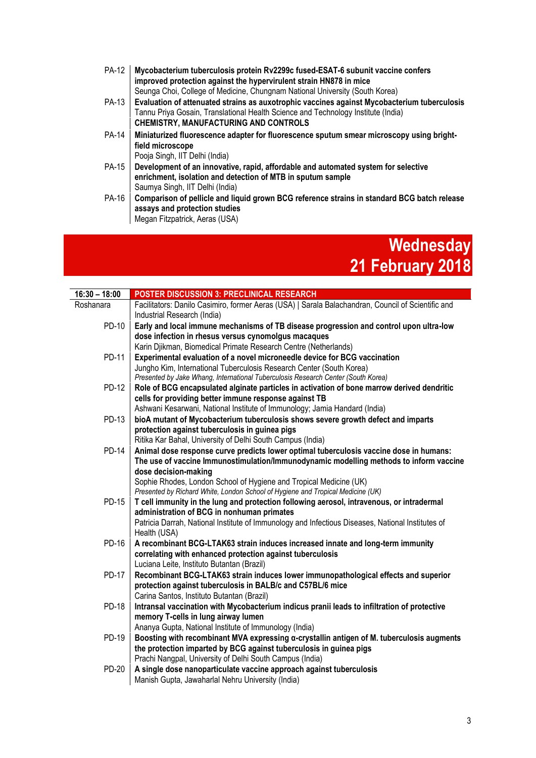| PA-12        | Mycobacterium tuberculosis protein Rv2299c fused-ESAT-6 subunit vaccine confers<br>improved protection against the hypervirulent strain HN878 in mice                            |
|--------------|----------------------------------------------------------------------------------------------------------------------------------------------------------------------------------|
|              | Seunga Choi, College of Medicine, Chungnam National University (South Korea)                                                                                                     |
| PA-13        | Evaluation of attenuated strains as auxotrophic vaccines against Mycobacterium tuberculosis<br>Tannu Priya Gosain, Translational Health Science and Technology Institute (India) |
|              | <b>CHEMISTRY, MANUFACTURING AND CONTROLS</b>                                                                                                                                     |
| <b>PA-14</b> | Miniaturized fluorescence adapter for fluorescence sputum smear microscopy using bright-                                                                                         |
|              | field microscope                                                                                                                                                                 |
|              | Pooja Singh, IIT Delhi (India)                                                                                                                                                   |
| PA-15        | Development of an innovative, rapid, affordable and automated system for selective<br>enrichment, isolation and detection of MTB in sputum sample                                |
|              | Saumya Singh, IIT Delhi (India)                                                                                                                                                  |
| PA-16        | Comparison of pellicle and liquid grown BCG reference strains in standard BCG batch release<br>assays and protection studies                                                     |
|              | Megan Fitzpatrick, Aeras (USA)                                                                                                                                                   |

## **Wednesday 21 February 2018**

| $16:30 - 18:00$ | POSTER DISCUSSION 3: PRECLINICAL RESEARCH                                                                                                         |
|-----------------|---------------------------------------------------------------------------------------------------------------------------------------------------|
| Roshanara       | Facilitators: Danilo Casimiro, former Aeras (USA)   Sarala Balachandran, Council of Scientific and<br>Industrial Research (India)                 |
| PD-10           | Early and local immune mechanisms of TB disease progression and control upon ultra-low                                                            |
|                 | dose infection in rhesus versus cynomolgus macaques                                                                                               |
| <b>PD-11</b>    | Karin Djikman, Biomedical Primate Research Centre (Netherlands)                                                                                   |
|                 | Experimental evaluation of a novel microneedle device for BCG vaccination<br>Jungho Kim, International Tuberculosis Research Center (South Korea) |
|                 | Presented by Jake Whang, International Tuberculosis Research Center (South Korea)                                                                 |
| PD-12           | Role of BCG encapsulated alginate particles in activation of bone marrow derived dendritic                                                        |
|                 | cells for providing better immune response against TB                                                                                             |
|                 | Ashwani Kesarwani, National Institute of Immunology; Jamia Handard (India)                                                                        |
| PD-13           | bioA mutant of Mycobacterium tuberculosis shows severe growth defect and imparts                                                                  |
|                 | protection against tuberculosis in guinea pigs<br>Ritika Kar Bahal, University of Delhi South Campus (India)                                      |
| <b>PD-14</b>    | Animal dose response curve predicts lower optimal tuberculosis vaccine dose in humans:                                                            |
|                 | The use of vaccine Immunostimulation/Immunodynamic modelling methods to inform vaccine                                                            |
|                 | dose decision-making                                                                                                                              |
|                 | Sophie Rhodes, London School of Hygiene and Tropical Medicine (UK)                                                                                |
| PD-15           | Presented by Richard White, London School of Hygiene and Tropical Medicine (UK)                                                                   |
|                 | T cell immunity in the lung and protection following aerosol, intravenous, or intradermal<br>administration of BCG in nonhuman primates           |
|                 | Patricia Darrah, National Institute of Immunology and Infectious Diseases, National Institutes of                                                 |
|                 | Health (USA)                                                                                                                                      |
| PD-16           | A recombinant BCG-LTAK63 strain induces increased innate and long-term immunity                                                                   |
|                 | correlating with enhanced protection against tuberculosis                                                                                         |
|                 | Luciana Leite, Instituto Butantan (Brazil)                                                                                                        |
| <b>PD-17</b>    | Recombinant BCG-LTAK63 strain induces lower immunopathological effects and superior<br>protection against tuberculosis in BALB/c and C57BL/6 mice |
|                 | Carina Santos, Instituto Butantan (Brazil)                                                                                                        |
| <b>PD-18</b>    | Intransal vaccination with Mycobacterium indicus pranii leads to infiltration of protective                                                       |
|                 | memory T-cells in lung airway lumen                                                                                                               |
|                 | Ananya Gupta, National Institute of Immunology (India)                                                                                            |
| PD-19           | Boosting with recombinant MVA expressing a-crystallin antigen of M. tuberculosis augments                                                         |
|                 | the protection imparted by BCG against tuberculosis in guinea pigs                                                                                |
| PD-20           | Prachi Nangpal, University of Delhi South Campus (India)<br>A single dose nanoparticulate vaccine approach against tuberculosis                   |
|                 | Manish Gupta, Jawaharlal Nehru University (India)                                                                                                 |
|                 |                                                                                                                                                   |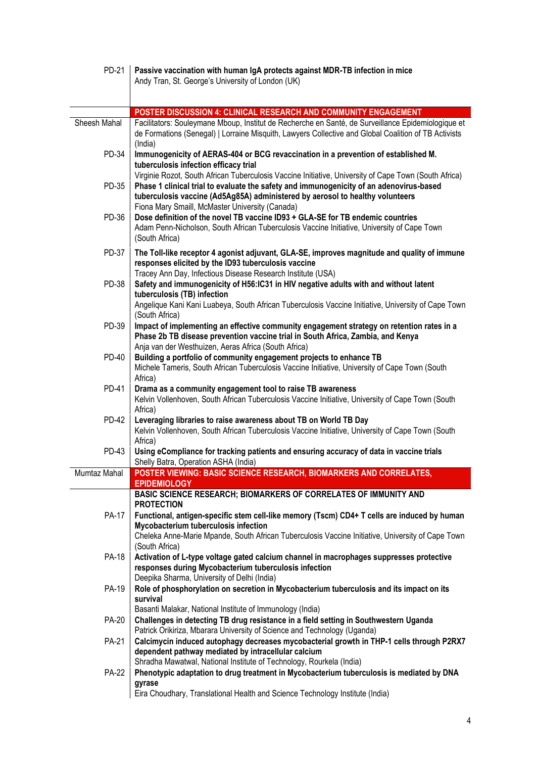| PD-21        | Passive vaccination with human IgA protects against MDR-TB infection in mice<br>Andy Tran, St. George's University of London (UK)                                                                                                                                                                                                    |
|--------------|--------------------------------------------------------------------------------------------------------------------------------------------------------------------------------------------------------------------------------------------------------------------------------------------------------------------------------------|
|              |                                                                                                                                                                                                                                                                                                                                      |
|              | POSTER DISCUSSION 4: CLINICAL RESEARCH AND COMMUNITY ENGAGEMENT                                                                                                                                                                                                                                                                      |
| Sheesh Mahal | Facilitators: Souleymane Mboup, Institut de Recherche en Santé, de Surveillance Epidemiologique et<br>de Formations (Senegal)   Lorraine Misquith, Lawyers Collective and Global Coalition of TB Activists<br>(India)                                                                                                                |
| PD-34        | Immunogenicity of AERAS-404 or BCG revaccination in a prevention of established M.<br>tuberculosis infection efficacy trial                                                                                                                                                                                                          |
| PD-35        | Virginie Rozot, South African Tuberculosis Vaccine Initiative, University of Cape Town (South Africa)<br>Phase 1 clinical trial to evaluate the safety and immunogenicity of an adenovirus-based<br>tuberculosis vaccine (Ad5Ag85A) administered by aerosol to healthy volunteers<br>Fiona Mary Smaill, McMaster University (Canada) |
| PD-36        | Dose definition of the novel TB vaccine ID93 + GLA-SE for TB endemic countries<br>Adam Penn-Nicholson, South African Tuberculosis Vaccine Initiative, University of Cape Town<br>(South Africa)                                                                                                                                      |
| PD-37        | The Toll-like receptor 4 agonist adjuvant, GLA-SE, improves magnitude and quality of immune<br>responses elicited by the ID93 tuberculosis vaccine<br>Tracey Ann Day, Infectious Disease Research Institute (USA)                                                                                                                    |
| <b>PD-38</b> | Safety and immunogenicity of H56:IC31 in HIV negative adults with and without latent                                                                                                                                                                                                                                                 |
|              | tuberculosis (TB) infection<br>Angelique Kani Kani Luabeya, South African Tuberculosis Vaccine Initiative, University of Cape Town<br>(South Africa)                                                                                                                                                                                 |
| PD-39        | Impact of implementing an effective community engagement strategy on retention rates in a<br>Phase 2b TB disease prevention vaccine trial in South Africa, Zambia, and Kenya<br>Anja van der Westhuizen, Aeras Africa (South Africa)                                                                                                 |
| PD-40        | Building a portfolio of community engagement projects to enhance TB<br>Michele Tameris, South African Tuberculosis Vaccine Initiative, University of Cape Town (South<br>Africa)                                                                                                                                                     |
| <b>PD-41</b> | Drama as a community engagement tool to raise TB awareness<br>Kelvin Vollenhoven, South African Tuberculosis Vaccine Initiative, University of Cape Town (South<br>Africa)                                                                                                                                                           |
| <b>PD-42</b> | Leveraging libraries to raise awareness about TB on World TB Day<br>Kelvin Vollenhoven, South African Tuberculosis Vaccine Initiative, University of Cape Town (South<br>Africa)                                                                                                                                                     |
| PD-43        | Using eCompliance for tracking patients and ensuring accuracy of data in vaccine trials<br>Shelly Batra, Operation ASHA (India)                                                                                                                                                                                                      |
| Mumtaz Mahal | POSTER VIEWING: BASIC SCIENCE RESEARCH, BIOMARKERS AND CORRELATES,<br><b>EPIDEMIOLOGY</b>                                                                                                                                                                                                                                            |
|              | BASIC SCIENCE RESEARCH; BIOMARKERS OF CORRELATES OF IMMUNITY AND<br><b>PROTECTION</b>                                                                                                                                                                                                                                                |
| <b>PA-17</b> | Functional, antigen-specific stem cell-like memory (Tscm) CD4+ T cells are induced by human<br>Mycobacterium tuberculosis infection                                                                                                                                                                                                  |
|              | Cheleka Anne-Marie Mpande, South African Tuberculosis Vaccine Initiative, University of Cape Town<br>(South Africa)                                                                                                                                                                                                                  |
| <b>PA-18</b> | Activation of L-type voltage gated calcium channel in macrophages suppresses protective<br>responses during Mycobacterium tuberculosis infection<br>Deepika Sharma, University of Delhi (India)                                                                                                                                      |
| PA-19        | Role of phosphorylation on secretion in Mycobacterium tuberculosis and its impact on its<br>survival                                                                                                                                                                                                                                 |
| <b>PA-20</b> | Basanti Malakar, National Institute of Immunology (India)<br>Challenges in detecting TB drug resistance in a field setting in Southwestern Uganda<br>Patrick Orikiriza, Mbarara University of Science and Technology (Uganda)                                                                                                        |
| <b>PA-21</b> | Calcimycin induced autophagy decreases mycobacterial growth in THP-1 cells through P2RX7<br>dependent pathway mediated by intracellular calcium<br>Shradha Mawatwal, National Institute of Technology, Rourkela (India)                                                                                                              |
| <b>PA-22</b> | Phenotypic adaptation to drug treatment in Mycobacterium tuberculosis is mediated by DNA                                                                                                                                                                                                                                             |
|              | gyrase<br>Eira Choudhary, Translational Health and Science Technology Institute (India)                                                                                                                                                                                                                                              |